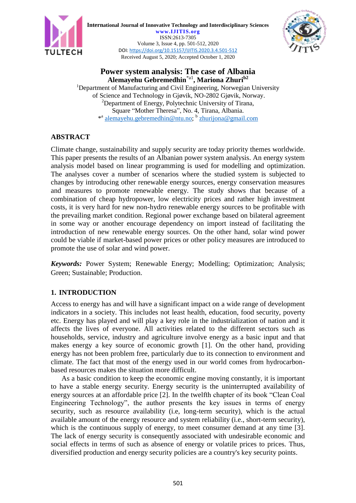

**International Journal of Innovative Technology and Interdisciplinary Sciences www.IJITIS.org** ISSN:2613-7305 Volume 3, Issue 4, pp. 501-512, 2020 DOI[: https://doi.org/10.15157/IJITIS.2020.3.4.501-512](https://doi.org/10.15157/IJITIS.2020.3.4.501-512) Received August 5, 2020; Accepted October 1, 2020



# **Power system analysis: The case of Albania Alemayehu Gebremedhin**\*a1 **, Mariona Zhurib2**

<sup>1</sup>Department of Manufacturing and Civil Engineering, Norwegian University of Science and Technology in Gjøvik, NO-2802 Gjøvik, Norway. <sup>2</sup>Department of Energy, Polytechnic University of Tirana, Square "Mother Theresa", No. 4, Tirana, Albania. \*<sup>a</sup> [alemayehu.gebremedhin@ntu.no;](mailto:alemayehu.gebremedhin@ntu.no) <sup>b</sup> [zhurijona@gmail.com](mailto:zhurijona@gmail.com)

# **ABSTRACT**

Climate change, sustainability and supply security are today priority themes worldwide. This paper presents the results of an Albanian power system analysis. An energy system analysis model based on linear programming is used for modelling and optimization. The analyses cover a number of scenarios where the studied system is subjected to changes by introducing other renewable energy sources, energy conservation measures and measures to promote renewable energy. The study shows that because of a combination of cheap hydropower, low electricity prices and rather high investment costs, it is very hard for new non-hydro renewable energy sources to be profitable with the prevailing market condition. Regional power exchange based on bilateral agreement in some way or another encourage dependency on import instead of facilitating the introduction of new renewable energy sources. On the other hand, solar wind power could be viable if market-based power prices or other policy measures are introduced to promote the use of solar and wind power.

*Keywords:* Power System; Renewable Energy; Modelling; Optimization; Analysis; Green; Sustainable; Production.

# **1. INTRODUCTION**

Access to energy has and will have a significant impact on a wide range of development indicators in a society. This includes not least health, education, food security, poverty etc. Energy has played and will play a key role in the industrialization of nation and it affects the lives of everyone. All activities related to the different sectors such as households, service, industry and agriculture involve energy as a basic input and that makes energy a key source of economic growth [1]. On the other hand, providing energy has not been problem free, particularly due to its connection to environment and climate. The fact that most of the energy used in our world comes from hydrocarbonbased resources makes the situation more difficult.

As a basic condition to keep the economic engine moving constantly, it is important to have a stable energy security. Energy security is the uninterrupted availability of energy sources at an affordable price [2]. In the twelfth chapter of its book "Clean Coal Engineering Technology", the author presents the key issues in terms of energy security, such as resource availability (i.e, long-term security), which is the actual available amount of the energy resource and system reliability (i.e., short-term security), which is the continuous supply of energy, to meet consumer demand at any time [3]. The lack of energy security is consequently associated with undesirable economic and social effects in terms of such as absence of energy or volatile prices to prices. Thus, diversified production and energy security policies are a country's key security points.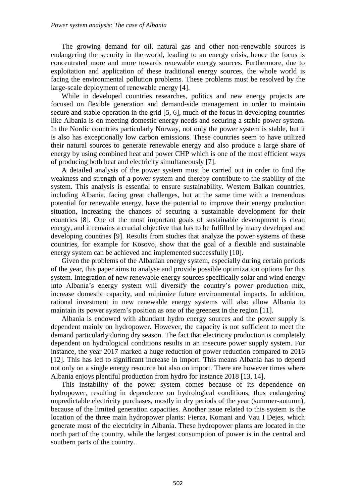The growing demand for oil, natural gas and other non-renewable sources is endangering the security in the world, leading to an energy crisis, hence the focus is concentrated more and more towards renewable energy sources. Furthermore, due to exploitation and application of these traditional energy sources, the whole world is facing the environmental pollution problems. These problems must be resolved by the large-scale deployment of renewable energy [4].

While in developed countries researches, politics and new energy projects are focused on flexible generation and demand-side management in order to maintain secure and stable operation in the grid [5, 6], much of the focus in developing countries like Albania is on meeting domestic energy needs and securing a stable power system. In the Nordic countries particularly Norway, not only the power system is stable, but it is also has exceptionally low carbon emissions. These countries seem to have utilized their natural sources to generate renewable energy and also produce a large share of energy by using combined heat and power CHP which is one of the most efficient ways of producing both heat and electricity simultaneously [7].

A detailed analysis of the power system must be carried out in order to find the weakness and strength of a power system and thereby contribute to the stability of the system. This analysis is essential to ensure sustainability. Western Balkan countries, including Albania, facing great challenges, but at the same time with a tremendous potential for renewable energy, have the potential to improve their energy production situation, increasing the chances of securing a sustainable development for their countries [8]. One of the most important goals of sustainable development is clean energy, and it remains a crucial objective that has to be fulfilled by many developed and developing countries [9]. Results from studies that analyze the power systems of these countries, for example for Kosovo, show that the goal of a flexible and sustainable energy system can be achieved and implemented successfully [10].

Given the problems of the Albanian energy system, especially during certain periods of the year, this paper aims to analyse and provide possible optimization options for this system. Integration of new renewable energy sources specifically solar and wind energy into Albania's energy system will diversify the country's power production mix, increase domestic capacity, and minimize future environmental impacts. In addition, rational investment in new renewable energy systems will also allow Albania to maintain its power system's position as one of the greenest in the region [11].

Albania is endowed with abundant hydro energy sources and the power supply is dependent mainly on hydropower. However, the capacity is not sufficient to meet the demand particularly during dry season. The fact that electricity production is completely dependent on hydrological conditions results in an insecure power supply system. For instance, the year 2017 marked a huge reduction of power reduction compared to 2016 [12]. This has led to significant increase in import. This means Albania has to depend not only on a single energy resource but also on import. There are however times where Albania enjoys plentiful production from hydro for instance 2018 [13, 14].

This instability of the power system comes because of its dependence on hydropower, resulting in dependence on hydrological conditions, thus endangering unpredictable electricity purchases, mostly in dry periods of the year (summer-autumn), because of the limited generation capacities. Another issue related to this system is the location of the three main hydropower plants: Fierza, Komani and Vau I Dejes, which generate most of the electricity in Albania. These hydropower plants are located in the north part of the country, while the largest consumption of power is in the central and southern parts of the country.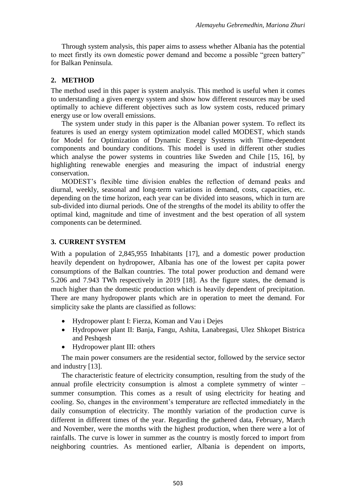Through system analysis, this paper aims to assess whether Albania has the potential to meet firstly its own domestic power demand and become a possible "green battery" for Balkan Peninsula.

## **2. METHOD**

The method used in this paper is system analysis. This method is useful when it comes to understanding a given energy system and show how different resources may be used optimally to achieve different objectives such as low system costs, reduced primary energy use or low overall emissions.

The system under study in this paper is the Albanian power system. To reflect its features is used an energy system optimization model called MODEST, which stands for Model for Optimization of Dynamic Energy Systems with Time-dependent components and boundary conditions. This model is used in different other studies which analyse the power systems in countries like Sweden and Chile [15, 16], by highlighting renewable energies and measuring the impact of industrial energy conservation.

MODEST's flexible time division enables the reflection of demand peaks and diurnal, weekly, seasonal and long-term variations in demand, costs, capacities, etc. depending on the time horizon, each year can be divided into seasons, which in turn are sub-divided into diurnal periods. One of the strengths of the model its ability to offer the optimal kind, magnitude and time of investment and the best operation of all system components can be determined.

## **3. CURRENT SYSTEM**

With a population of 2,845,955 Inhabitants [17], and a domestic power production heavily dependent on hydropower, Albania has one of the lowest per capita power consumptions of the Balkan countries. The total power production and demand were 5.206 and 7.943 TWh respectively in 2019 [18]. As the figure states, the demand is much higher than the domestic production which is heavily dependent of precipitation. There are many hydropower plants which are in operation to meet the demand. For simplicity sake the plants are classified as follows:

- Hydropower plant I: Fierza, Koman and Vau i Dejes
- Hydropower plant II: Banja, Fangu, Ashita, Lanabregasi, Ulez Shkopet Bistrica and Peshqesh
- Hydropower plant III: others

The main power consumers are the residential sector, followed by the service sector and industry [13].

The characteristic feature of electricity consumption, resulting from the study of the annual profile electricity consumption is almost a complete symmetry of winter – summer consumption. This comes as a result of using electricity for heating and cooling. So, changes in the environment's temperature are reflected immediately in the daily consumption of electricity. The monthly variation of the production curve is different in different times of the year. Regarding the gathered data, February, March and November, were the months with the highest production, when there were a lot of rainfalls. The curve is lower in summer as the country is mostly forced to import from neighboring countries. As mentioned earlier, Albania is dependent on imports,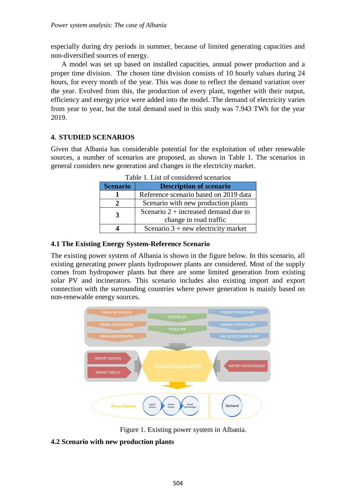especially during dry periods in summer, because of limited generating capacities and non-diversified sources of energy.

A model was set up based on installed capacities, annual power production and a proper time division. The chosen time division consists of 10 hourly values during 24 hours, for every month of the year. This was done to reflect the demand variation over the year. Evolved from this, the production of every plant, together with their output, efficiency and energy price were added into the model. The demand of electricity varies from year to year, but the total demand used in this study was 7.943 TWh for the year 2019.

# **4. STUDIED SCENARIOS**

Given that Albania has considerable potential for the exploitation of other renewable sources, a number of scenarios are proposed, as shown in Table 1. The scenarios in general considers new generation and changes in the electricity market.

| <b>Scenario</b> | <b>Description of scenario</b>                                   |
|-----------------|------------------------------------------------------------------|
|                 | Reference scenario based on 2019 data                            |
|                 | Scenario with new production plants                              |
|                 | Scenario $2 +$ increased demand due to<br>change in road traffic |
|                 | Scenario $3 + new$ electricity market                            |

Table 1. List of considered scenarios

## **4.1 The Existing Energy System-Reference Scenario**

The existing power system of Albania is shown in the figure below. In this scenario, all existing generating power plants hydropower plants are considered. Most of the supply comes from hydropower plants but there are some limited generation from existing solar PV and incinerators. This scenario includes also existing import and export connection with the surrounding countries where power generation is mainly based on non-renewable energy sources.



Figure 1. Existing power system in Albania.

# **4.2 Scenario with new production plants**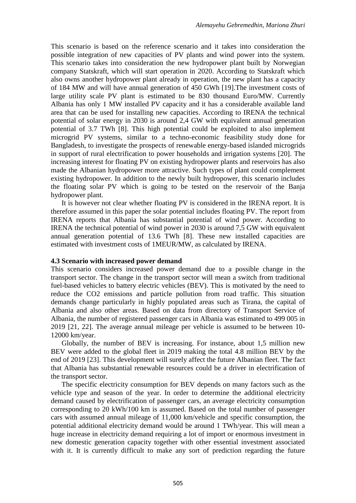This scenario is based on the reference scenario and it takes into consideration the possible integration of new capacities of PV plants and wind power into the system. This scenario takes into consideration the new hydropower plant built by Norwegian company Statskraft, which will start operation in 2020. According to Statskraft which also owns another hydropower plant already in operation, the new plant has a capacity of 184 MW and will have annual generation of 450 GWh [19].The investment costs of large utility scale PV plant is estimated to be 830 thousand Euro/MW. Currently Albania has only 1 MW installed PV capacity and it has a considerable available land area that can be used for installing new capacities. According to IRENA the technical potential of solar energy in 2030 is around 2,4 GW with equivalent annual generation potential of 3.7 TWh [8]. This high potential could be exploited to also implement microgrid PV systems, similar to a techno-economic feasibility study done for Bangladesh, to investigate the prospects of renewable energy-based islanded microgrids in support of rural electrification to power households and irrigation systems [20]. The increasing interest for floating PV on existing hydropower plants and reservoirs has also made the Albanian hydropower more attractive. Such types of plant could complement existing hydropower. In addition to the newly built hydropower, this scenario includes the floating solar PV which is going to be tested on the reservoir of the Banja hydropower plant.

It is however not clear whether floating PV is considered in the IRENA report. It is therefore assumed in this paper the solar potential includes floating PV. The report from IRENA reports that Albania has substantial potential of wind power. According to IRENA the technical potential of wind power in 2030 is around 7,5 GW with equivalent annual generation potential of 13.6 TWh [8]. These new installed capacities are estimated with investment costs of 1MEUR/MW, as calculated by IRENA.

#### **4.3 Scenario with increased power demand**

This scenario considers increased power demand due to a possible change in the transport sector. The change in the transport sector will mean a switch from traditional fuel-based vehicles to battery electric vehicles (BEV). This is motivated by the need to reduce the CO2 emissions and particle pollution from road traffic. This situation demands change particularly in highly populated areas such as Tirana, the capital of Albania and also other areas. Based on data from directory of Transport Service of Albania, the number of registered passenger cars in Albania was estimated to 499 005 in 2019 [21, 22]. The average annual mileage per vehicle is assumed to be between 10- 12000 km/year.

Globally, the number of BEV is increasing. For instance, about 1,5 million new BEV were added to the global fleet in 2019 making the total 4.8 million BEV by the end of 2019 [23]. This development will surely affect the future Albanian fleet. The fact that Albania has substantial renewable resources could be a driver in electrification of the transport sector.

The specific electricity consumption for BEV depends on many factors such as the vehicle type and season of the year. In order to determine the additional electricity demand caused by electrification of passenger cars, an average electricity consumption corresponding to 20 kWh/100 km is assumed. Based on the total number of passenger cars with assumed annual mileage of 11,000 km/vehicle and specific consumption, the potential additional electricity demand would be around 1 TWh/year. This will mean a huge increase in electricity demand requiring a lot of import or enormous investment in new domestic generation capacity together with other essential investment associated with it. It is currently difficult to make any sort of prediction regarding the future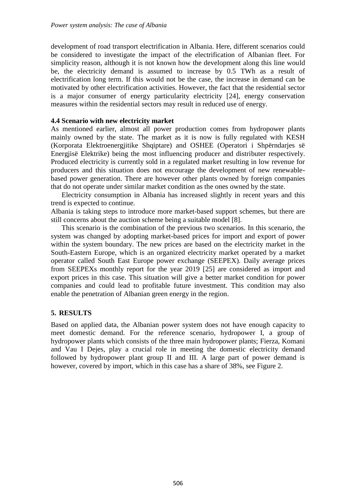development of road transport electrification in Albania. Here, different scenarios could be considered to investigate the impact of the electrification of Albanian fleet. For simplicity reason, although it is not known how the development along this line would be, the electricity demand is assumed to increase by 0.5 TWh as a result of electrification long term. If this would not be the case, the increase in demand can be motivated by other electrification activities. However, the fact that the residential sector is a major consumer of energy particularity electricity [24], energy conservation measures within the residential sectors may result in reduced use of energy.

### **4.4 Scenario with new electricity market**

As mentioned earlier, almost all power production comes from hydropower plants mainly owned by the state. The market as it is now is fully regulated with KESH (Korporata Elektroenergjitike Shqiptare) and OSHEE (Operatori i Shpërndarjes së Energjisë Elektrike) being the most influencing producer and distributer respectively. Produced electricity is currently sold in a regulated market resulting in low revenue for producers and this situation does not encourage the development of new renewablebased power generation. There are however other plants owned by foreign companies that do not operate under similar market condition as the ones owned by the state.

Electricity consumption in Albania has increased slightly in recent years and this trend is expected to continue.

Albania is taking steps to introduce more market-based support schemes, but there are still concerns about the auction scheme being a suitable model [8].

This scenario is the combination of the previous two scenarios. In this scenario, the system was changed by adopting market-based prices for import and export of power within the system boundary. The new prices are based on the electricity market in the South-Eastern Europe, which is an organized electricity market operated by a market operator called South East Europe power exchange (SEEPEX). Daily average prices from SEEPEXs monthly report for the year 2019 [25] are considered as import and export prices in this case. This situation will give a better market condition for power companies and could lead to profitable future investment. This condition may also enable the penetration of Albanian green energy in the region.

### **5. RESULTS**

Based on applied data, the Albanian power system does not have enough capacity to meet domestic demand. For the reference scenario, hydropower I, a group of hydropower plants which consists of the three main hydropower plants; Fierza, Komani and Vau I Dejes, play a crucial role in meeting the domestic electricity demand followed by hydropower plant group II and III. A large part of power demand is however, covered by import, which in this case has a share of 38%, see Figure 2.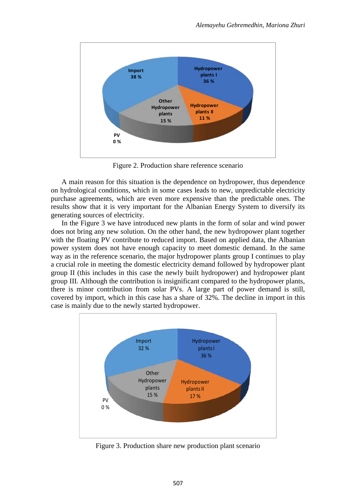

Figure 2. Production share reference scenario

A main reason for this situation is the dependence on hydropower, thus dependence on hydrological conditions, which in some cases leads to new, unpredictable electricity purchase agreements, which are even more expensive than the predictable ones. The results show that it is very important for the Albanian Energy System to diversify its generating sources of electricity.

In the Figure 3 we have introduced new plants in the form of solar and wind power does not bring any new solution. On the other hand, the new hydropower plant together with the floating PV contribute to reduced import. Based on applied data, the Albanian power system does not have enough capacity to meet domestic demand. In the same way as in the reference scenario, the major hydropower plants group I continues to play a crucial role in meeting the domestic electricity demand followed by hydropower plant group II (this includes in this case the newly built hydropower) and hydropower plant group III. Although the contribution is insignificant compared to the hydropower plants, there is minor contribution from solar PVs. A large part of power demand is still, covered by import, which in this case has a share of 32%. The decline in import in this case is mainly due to the newly started hydropower.



Figure 3. Production share new production plant scenario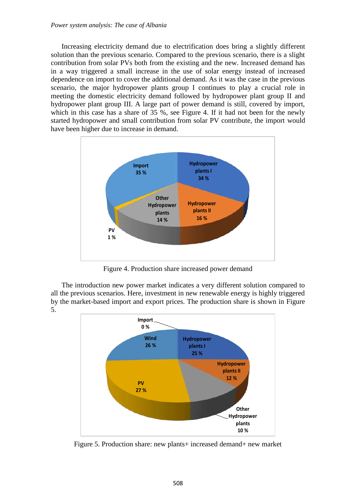Increasing electricity demand due to electrification does bring a slightly different solution than the previous scenario. Compared to the previous scenario, there is a slight contribution from solar PVs both from the existing and the new. Increased demand has in a way triggered a small increase in the use of solar energy instead of increased dependence on import to cover the additional demand. As it was the case in the previous scenario, the major hydropower plants group I continues to play a crucial role in meeting the domestic electricity demand followed by hydropower plant group II and hydropower plant group III. A large part of power demand is still, covered by import, which in this case has a share of 35 %, see Figure 4. If it had not been for the newly started hydropower and small contribution from solar PV contribute, the import would have been higher due to increase in demand.



Figure 4. Production share increased power demand

The introduction new power market indicates a very different solution compared to all the previous scenarios. Here, investment in new renewable energy is highly triggered by the market-based import and export prices. The production share is shown in Figure 5.



Figure 5. Production share: new plants+ increased demand+ new market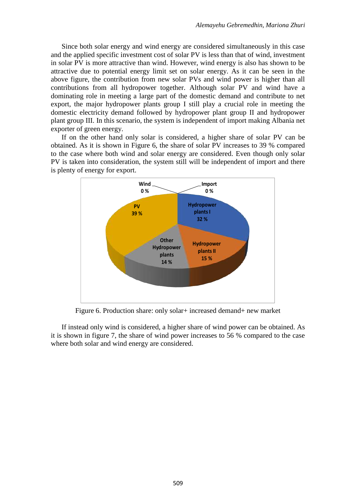Since both solar energy and wind energy are considered simultaneously in this case and the applied specific investment cost of solar PV is less than that of wind, investment in solar PV is more attractive than wind. However, wind energy is also has shown to be attractive due to potential energy limit set on solar energy. As it can be seen in the above figure, the contribution from new solar PVs and wind power is higher than all contributions from all hydropower together. Although solar PV and wind have a dominating role in meeting a large part of the domestic demand and contribute to net export, the major hydropower plants group I still play a crucial role in meeting the domestic electricity demand followed by hydropower plant group II and hydropower plant group III. In this scenario, the system is independent of import making Albania net exporter of green energy.

If on the other hand only solar is considered, a higher share of solar PV can be obtained. As it is shown in Figure 6, the share of solar PV increases to 39 % compared to the case where both wind and solar energy are considered. Even though only solar PV is taken into consideration, the system still will be independent of import and there is plenty of energy for export.



Figure 6. Production share: only solar+ increased demand+ new market

If instead only wind is considered, a higher share of wind power can be obtained. As it is shown in figure 7, the share of wind power increases to 56 % compared to the case where both solar and wind energy are considered.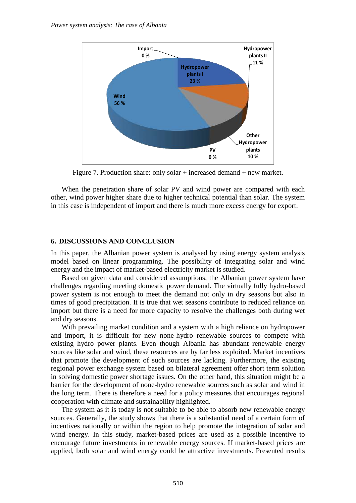

Figure 7. Production share: only solar + increased demand + new market.

When the penetration share of solar PV and wind power are compared with each other, wind power higher share due to higher technical potential than solar. The system in this case is independent of import and there is much more excess energy for export.

#### **6. DISCUSSIONS AND CONCLUSION**

In this paper, the Albanian power system is analysed by using energy system analysis model based on linear programming. The possibility of integrating solar and wind energy and the impact of market-based electricity market is studied.

Based on given data and considered assumptions, the Albanian power system have challenges regarding meeting domestic power demand. The virtually fully hydro-based power system is not enough to meet the demand not only in dry seasons but also in times of good precipitation. It is true that wet seasons contribute to reduced reliance on import but there is a need for more capacity to resolve the challenges both during wet and dry seasons.

With prevailing market condition and a system with a high reliance on hydropower and import, it is difficult for new none-hydro renewable sources to compete with existing hydro power plants. Even though Albania has abundant renewable energy sources like solar and wind, these resources are by far less exploited. Market incentives that promote the development of such sources are lacking. Furthermore, the existing regional power exchange system based on bilateral agreement offer short term solution in solving domestic power shortage issues. On the other hand, this situation might be a barrier for the development of none-hydro renewable sources such as solar and wind in the long term. There is therefore a need for a policy measures that encourages regional cooperation with climate and sustainability highlighted.

The system as it is today is not suitable to be able to absorb new renewable energy sources. Generally, the study shows that there is a substantial need of a certain form of incentives nationally or within the region to help promote the integration of solar and wind energy. In this study, market-based prices are used as a possible incentive to encourage future investments in renewable energy sources. If market-based prices are applied, both solar and wind energy could be attractive investments. Presented results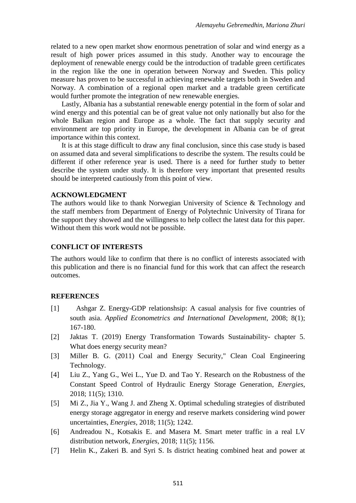related to a new open market show enormous penetration of solar and wind energy as a result of high power prices assumed in this study. Another way to encourage the deployment of renewable energy could be the introduction of tradable green certificates in the region like the one in operation between Norway and Sweden. This policy measure has proven to be successful in achieving renewable targets both in Sweden and Norway. A combination of a regional open market and a tradable green certificate would further promote the integration of new renewable energies.

Lastly, Albania has a substantial renewable energy potential in the form of solar and wind energy and this potential can be of great value not only nationally but also for the whole Balkan region and Europe as a whole. The fact that supply security and environment are top priority in Europe, the development in Albania can be of great importance within this context.

It is at this stage difficult to draw any final conclusion, since this case study is based on assumed data and several simplifications to describe the system. The results could be different if other reference year is used. There is a need for further study to better describe the system under study. It is therefore very important that presented results should be interpreted cautiously from this point of view.

### **ACKNOWLEDGMENT**

The authors would like to thank Norwegian University of Science & Technology and the staff members from Department of Energy of Polytechnic University of Tirana for the support they showed and the willingness to help collect the latest data for this paper. Without them this work would not be possible.

### **CONFLICT OF INTERESTS**

The authors would like to confirm that there is no conflict of interests associated with this publication and there is no financial fund for this work that can affect the research outcomes.

## **REFERENCES**

- [1] Ashgar Z. Energy-GDP relationshsip: A casual analysis for five countries of south asia. *Applied Econometrics and International Development*, 2008; 8(1); 167-180.
- [2] Jaktas T. (2019) Energy Transformation Towards Sustainability- chapter 5. What does energy security mean?
- [3] Miller B. G. (2011) Coal and Energy Security," Clean Coal Engineering Technology.
- [4] Liu Z., Yang G., Wei L., Yue D. and Tao Y. Research on the Robustness of the Constant Speed Control of Hydraulic Energy Storage Generation, *Energies*, 2018; 11(5); 1310.
- [5] Mi Z., Jia Y., Wang J. and Zheng X. Optimal scheduling strategies of distributed energy storage aggregator in energy and reserve markets considering wind power uncertainties, *Energies*, 2018; 11(5); 1242.
- [6] Andreadou N., Kotsakis E. and Masera M. Smart meter traffic in a real LV distribution network, *Energies*, 2018; 11(5); 1156.
- [7] Helin K., Zakeri B. and Syri S. Is district heating combined heat and power at